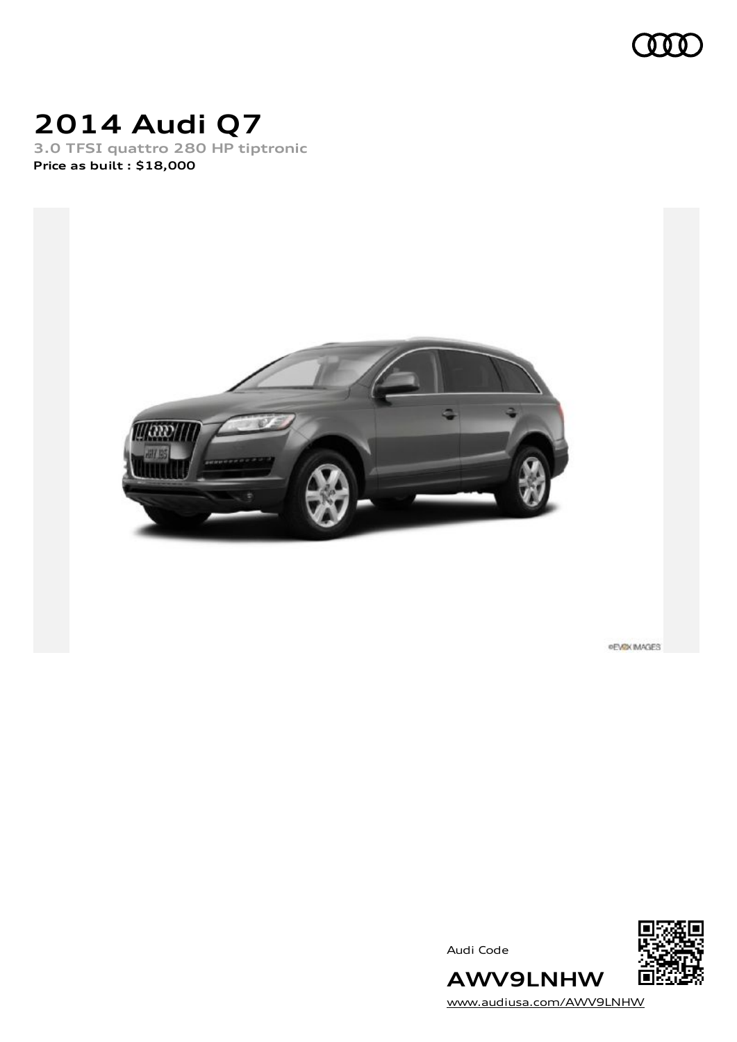

# **2014 Audi Q7**

**3.0 TFSI quattro 280 HP tiptronic Price as built [:](#page-10-0) \$18,000**



**PEVEX IMAGES** 

Audi Code



**AWV9LNHW** [www.audiusa.com/AWV9LNHW](https://www.audiusa.com/AWV9LNHW)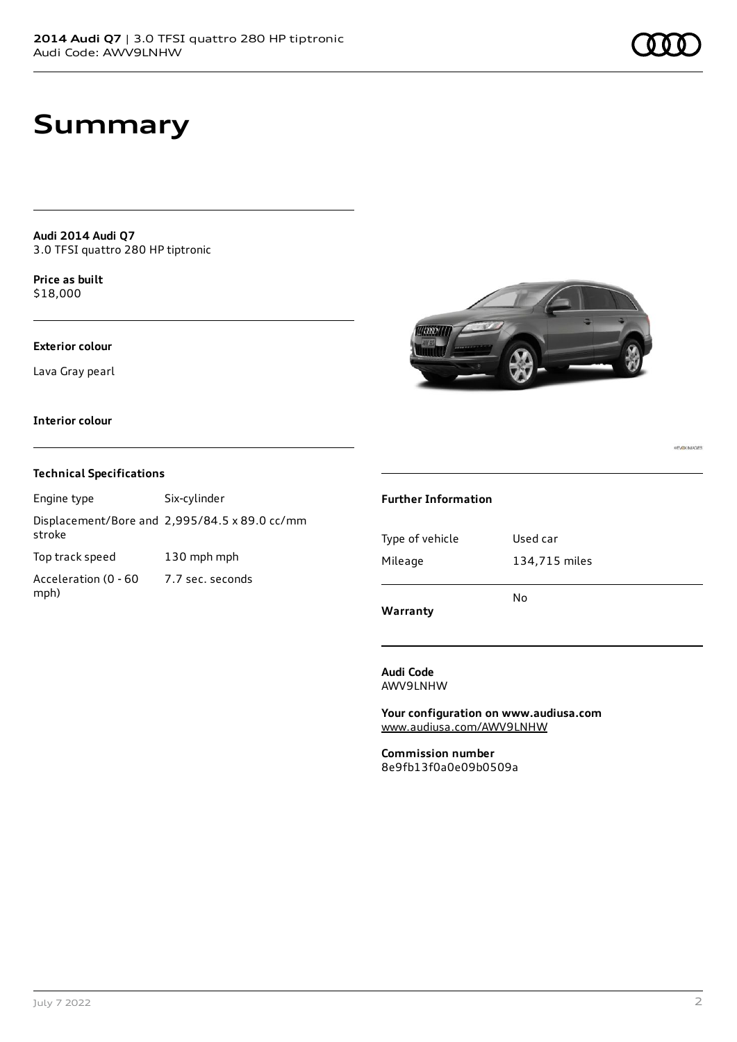# **Summary**

**Audi 2014 Audi Q7** 3.0 TFSI quattro 280 HP tiptronic

**Price as buil[t](#page-10-0)** \$18,000

#### **Exterior colour**

Lava Gray pearl



### **Interior colour**

mph)

### **Technical Specifications**

Engine type Six-cylinder Displacement/Bore and 2,995/84.5 x 89.0 cc/mm stroke Top track speed 130 mph mph Acceleration (0 - 60 7.7 sec. seconds

#### **Further Information**

| Warranty        |               |
|-----------------|---------------|
|                 | N٥            |
| Mileage         | 134,715 miles |
| Type of vehicle | Used car      |
|                 |               |

**Audi Code** AWV9LNHW

**Your configuration on www.audiusa.com** [www.audiusa.com/AWV9LNHW](https://www.audiusa.com/AWV9LNHW)

**Commission number** 8e9fb13f0a0e09b0509a **PLOV MAGES**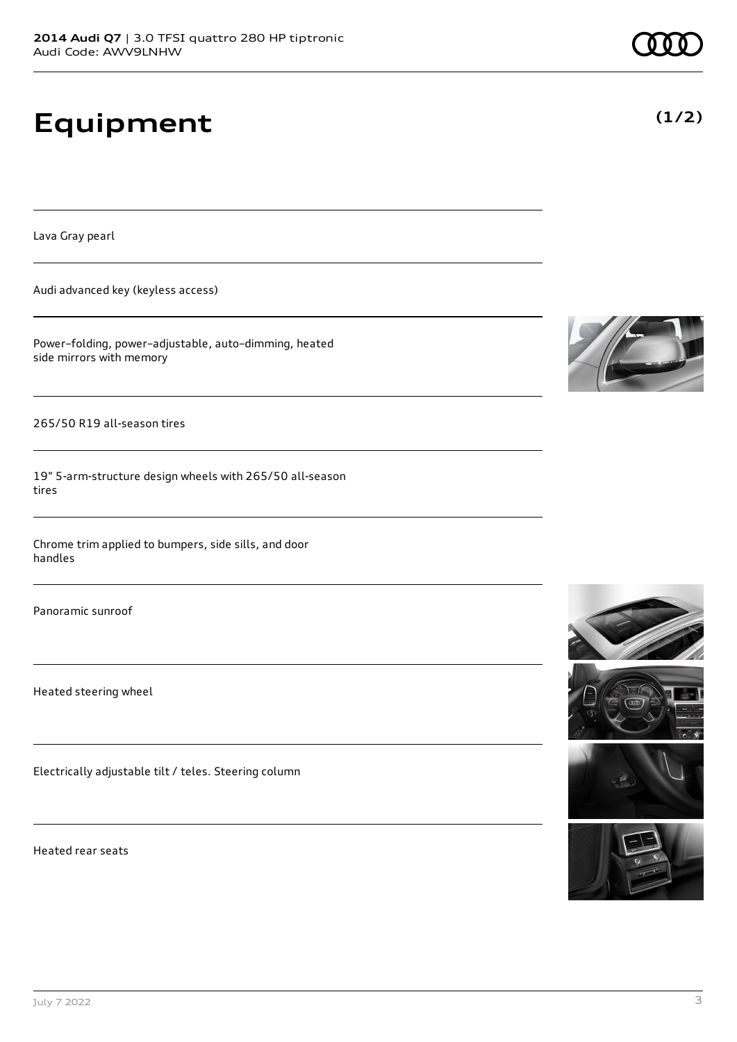# **Equipment**

Lava Gray pearl

Audi advanced key (keyless access)

Power–folding, power–adjustable, auto–dimming, heated side mirrors with memory

265/50 R19 all-season tires

19" 5-arm-structure design wheels with 265/50 all-season tires

Chrome trim applied to bumpers, side sills, and door handles

Panoramic sunroof

Heated steering wheel

Electrically adjustable tilt / teles. Steering column

Heated rear seats











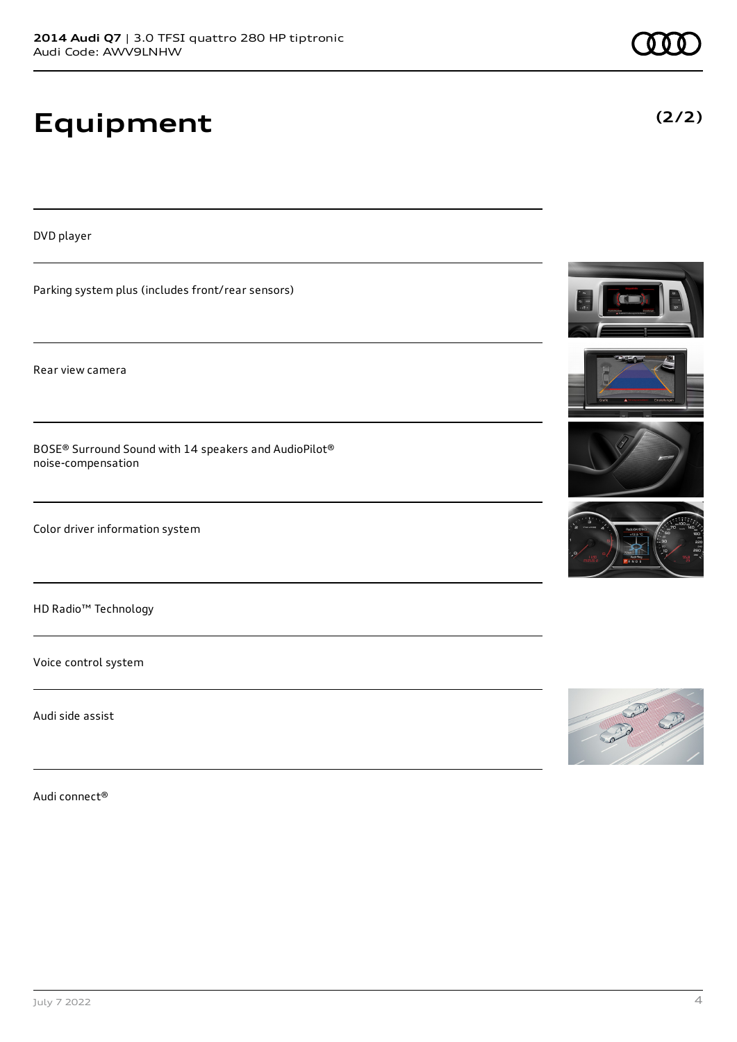# **Equipment**

DVD player

Parking system plus (includes front/rear sensors)

Rear view camera

BOSE® Surround Sound with 14 speakers and AudioPilot® noise-compensation

Color driver information system

HD Radio™ Technology

Voice control system

Audi side assist

Audi connect®









**(2/2)**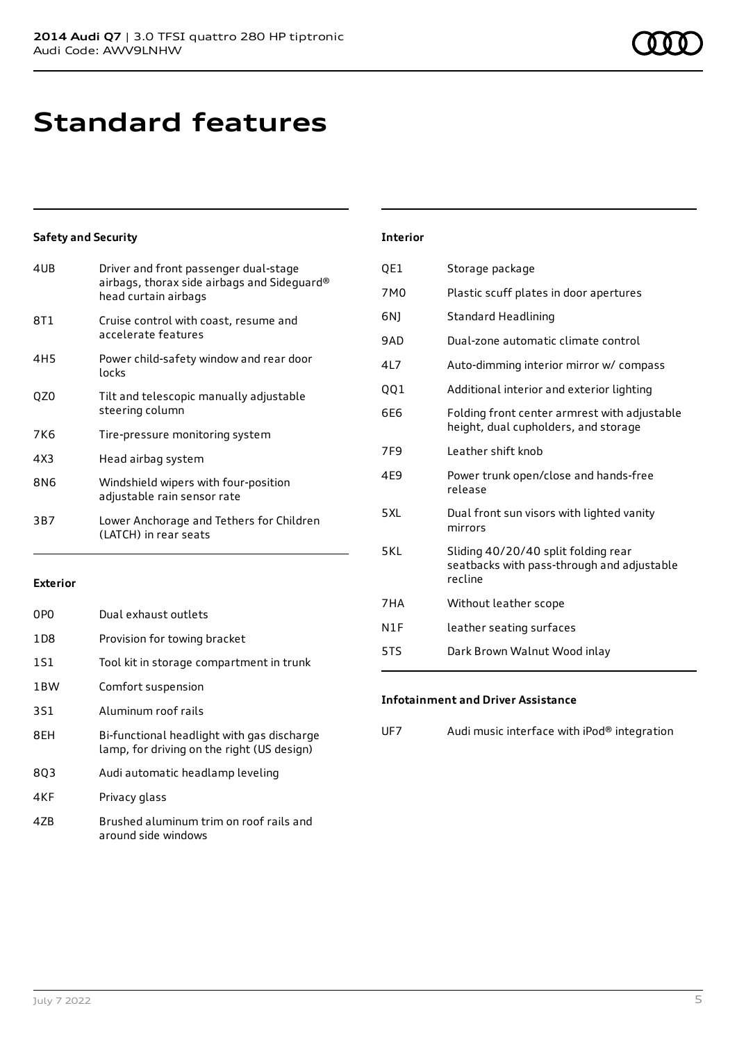# **Standard features**

### **Safety and Security**

| 4UB | Driver and front passenger dual-stage<br>airbags, thorax side airbags and Sideguard®<br>head curtain airbags |
|-----|--------------------------------------------------------------------------------------------------------------|
| 8T1 | Cruise control with coast, resume and<br>accelerate features                                                 |
| 4H5 | Power child-safety window and rear door<br>locks                                                             |
| QZ0 | Tilt and telescopic manually adjustable<br>steering column                                                   |
| 7K6 | Tire-pressure monitoring system                                                                              |
| 4X3 | Head airbag system                                                                                           |
| 8N6 | Windshield wipers with four-position<br>adjustable rain sensor rate                                          |
| 3B7 | Lower Anchorage and Tethers for Children<br>(LATCH) in rear seats                                            |

### **Exterior**

| 0P <sub>0</sub> | Dual exhaust outlets                                                                     |
|-----------------|------------------------------------------------------------------------------------------|
| 1D <sub>8</sub> | Provision for towing bracket                                                             |
| 1S1             | Tool kit in storage compartment in trunk                                                 |
| 1BW             | Comfort suspension                                                                       |
| 3S1             | Aluminum roof rails                                                                      |
| 8EH             | Bi-functional headlight with gas discharge<br>lamp, for driving on the right (US design) |
| 803             | Audi automatic headlamp leveling                                                         |
| 4KF             | Privacy glass                                                                            |
| 47B             | Brushed aluminum trim on roof rails and<br>around side windows                           |

#### **Interior**

| QE1             | Storage package                                                                              |
|-----------------|----------------------------------------------------------------------------------------------|
| 7M0             | Plastic scuff plates in door apertures                                                       |
| 6N)             | <b>Standard Headlining</b>                                                                   |
| 9AD             | Dual-zone automatic climate control                                                          |
| 4L7             | Auto-dimming interior mirror w/ compass                                                      |
| QQ1             | Additional interior and exterior lighting                                                    |
| 6E6             | Folding front center armrest with adjustable<br>height, dual cupholders, and storage         |
| 7F <sub>9</sub> | Leather shift knob                                                                           |
| 4E9             | Power trunk open/close and hands-free<br>release                                             |
| 5 X I           | Dual front sun visors with lighted vanity<br>mirrors                                         |
| 5KI             | Sliding 40/20/40 split folding rear<br>seatbacks with pass-through and adjustable<br>recline |
| 7HA             | Without leather scope                                                                        |
| N1F             | leather seating surfaces                                                                     |
| 5TS             | Dark Brown Walnut Wood inlay                                                                 |

### **Infotainment and Driver Assistance**

UF7 Audi music interface with iPod® integration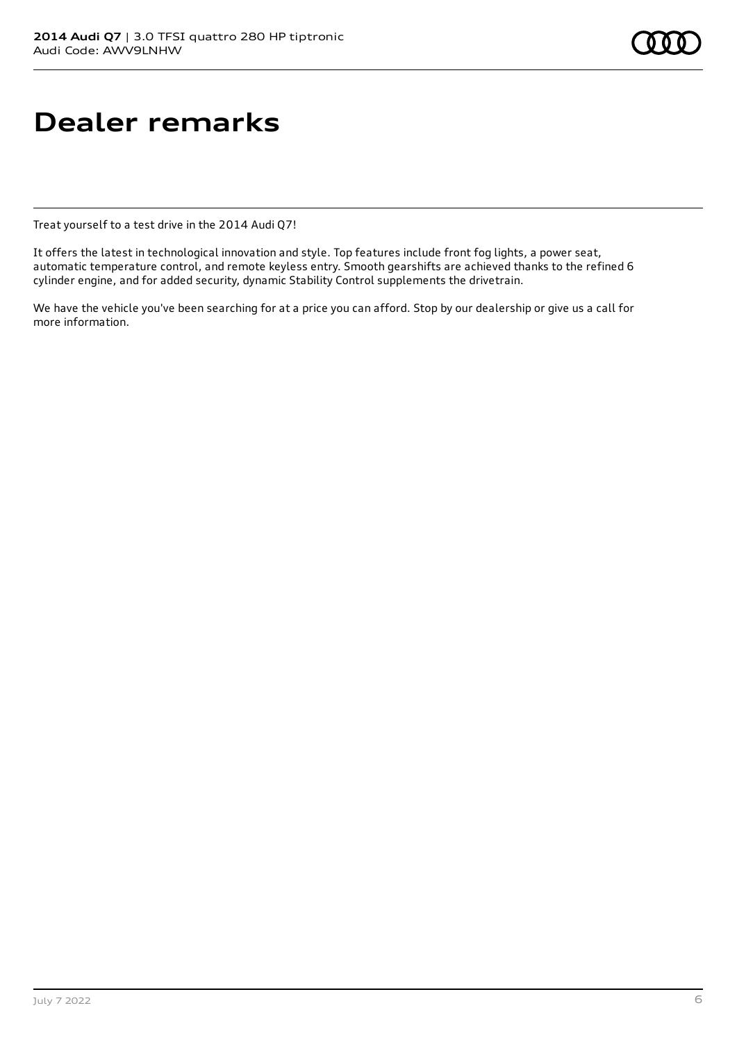# **Dealer remarks**

Treat yourself to a test drive in the 2014 Audi Q7!

It offers the latest in technological innovation and style. Top features include front fog lights, a power seat, automatic temperature control, and remote keyless entry. Smooth gearshifts are achieved thanks to the refined 6 cylinder engine, and for added security, dynamic Stability Control supplements the drivetrain.

We have the vehicle you've been searching for at a price you can afford. Stop by our dealership or give us a call for more information.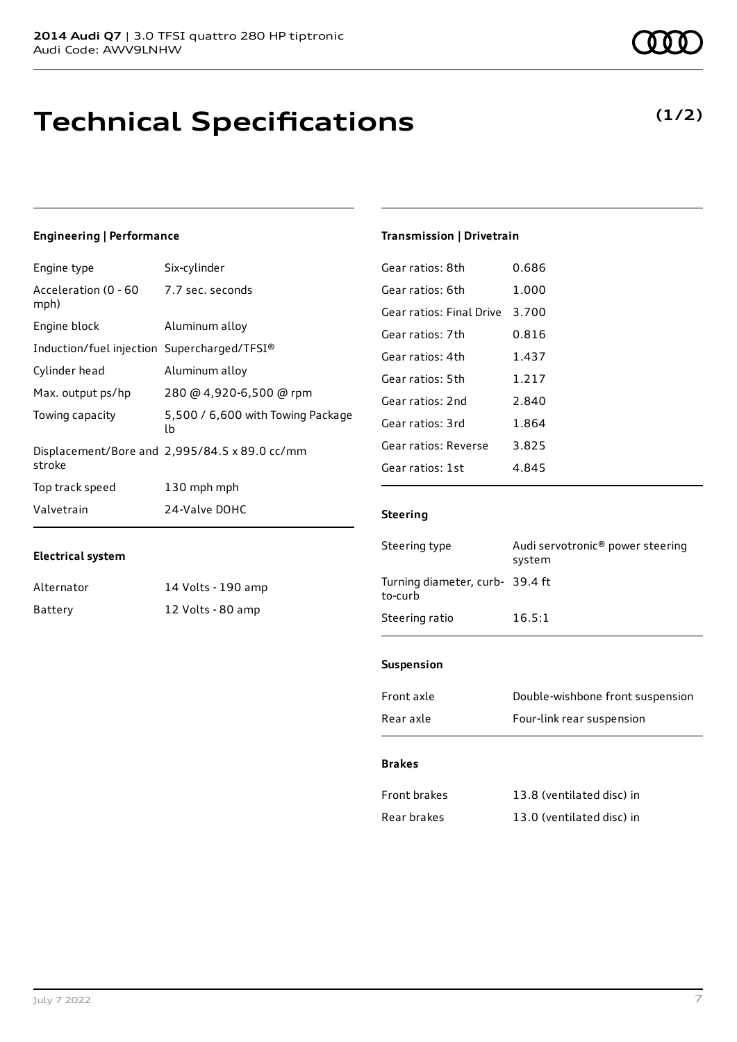# **Technical Specifications**

### **Engineering | Performance**

| Engine type                                     | Six-cylinder                                  |
|-------------------------------------------------|-----------------------------------------------|
| Acceleration (0 - 60 - 7.7 sec. seconds<br>mph) |                                               |
| Engine block                                    | Aluminum alloy                                |
| Induction/fuel injection Supercharged/TFSI®     |                                               |
| Cylinder head                                   | Aluminum alloy                                |
| Max. output ps/hp                               | 280 @ 4,920-6,500 @ rpm                       |
| Towing capacity                                 | 5,500 / 6,600 with Towing Package<br>lb       |
| stroke                                          | Displacement/Bore and 2,995/84.5 x 89.0 cc/mm |
| Top track speed                                 | 130 mph mph                                   |
| Valvetrain                                      | 24-Valve DOHC                                 |

#### **Electrical system**

| Alternator | 14 Volts - 190 amp |
|------------|--------------------|
| Battery    | 12 Volts - 80 amp  |

| Gear ratios: 7th                | 0.816                                      |
|---------------------------------|--------------------------------------------|
| Gear ratios: 4th                | 1.437                                      |
| Gear ratios: 5th                | 1.217                                      |
| Gear ratios: 2nd                | 2.840                                      |
| Gear ratios: 3rd                | 1.864                                      |
| Gear ratios: Reverse            | 3.825                                      |
| Gear ratios: 1st                | 4.845                                      |
| <b>Steering</b>                 |                                            |
| Steering type                   | Audi servotronic® power steering<br>system |
| Turning diameter, curb- 39.4 ft |                                            |

Steering ratio 16.5:1

**Transmission | Drivetrain**

Gear ratios: 8th 0.686 Gear ratios: 6th 1.000 Gear ratios: Final Drive 3.700

#### **Suspension**

| Rear axle  | Four-link rear suspension        |
|------------|----------------------------------|
| Front axle | Double-wishbone front suspension |

### **Brakes**

| Front brakes | 13.8 (ventilated disc) in |
|--------------|---------------------------|
| Rear brakes  | 13.0 (ventilated disc) in |

### **(1/2)**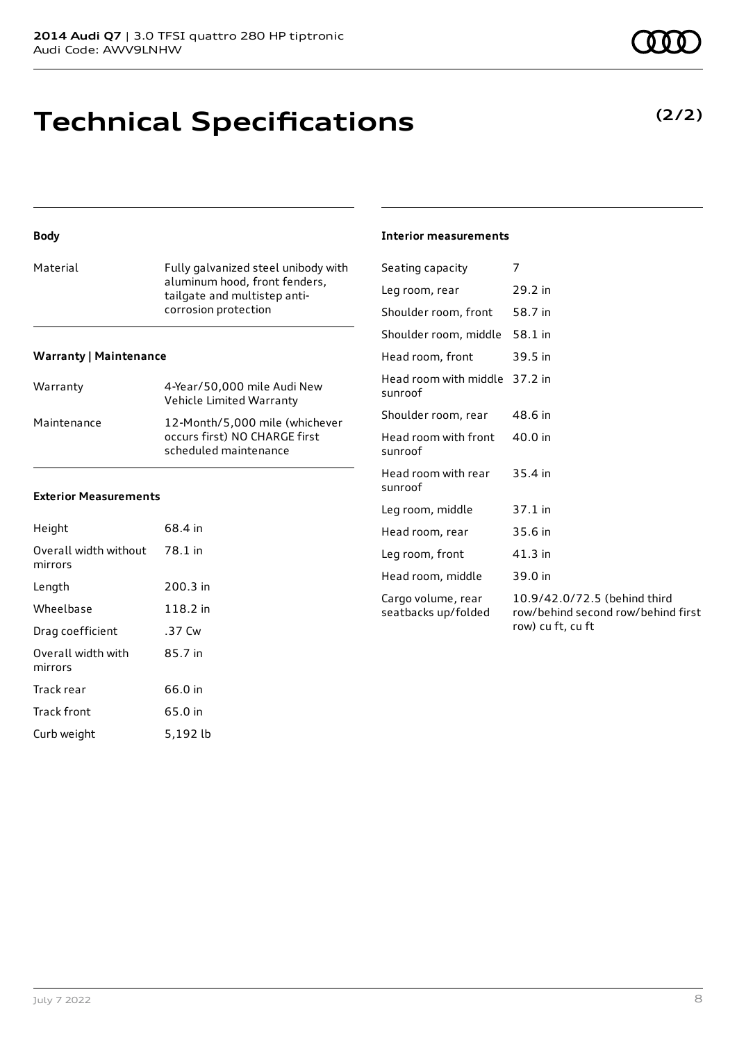# **Technical Specifications**

### **Body**

| Material | Fully galvanized steel unibody with |
|----------|-------------------------------------|
|          | aluminum hood, front fenders,       |
|          | tailgate and multistep anti-        |
|          | corrosion protection                |
|          |                                     |

#### **Warranty | Maintenance**

| Warranty    | 4-Year/50,000 mile Audi New<br>Vehicle Limited Warranty                                  |
|-------------|------------------------------------------------------------------------------------------|
| Maintenance | 12-Month/5,000 mile (whichever<br>occurs first) NO CHARGE first<br>scheduled maintenance |

#### **Exterior Measurements**

| Height                           | 68.4 in  |
|----------------------------------|----------|
| Overall width without<br>mirrors | 78.1 in  |
| Length                           | 200.3 in |
| Wheelbase                        | 118.2 in |
| Drag coefficient                 | .37 Cw   |
| Overall width with<br>mirrors    | 85.7 in  |
| Track rear                       | 66.0 in  |
| <b>Track front</b>               | 65.0 in  |
| Curb weight                      | 5,192 lb |

### **Interior measurements**

| Seating capacity                          | 7                                                                                       |
|-------------------------------------------|-----------------------------------------------------------------------------------------|
| Leg room, rear                            | 29.2 in                                                                                 |
| Shoulder room, front                      | 58.7 in                                                                                 |
| Shoulder room, middle                     | 58.1 in                                                                                 |
| Head room, front                          | 39.5 in                                                                                 |
| Head room with middle<br>sunroof          | 37.2 in                                                                                 |
| Shoulder room, rear                       | 48.6 in                                                                                 |
| Head room with front<br>sunroof           | 40.0 in                                                                                 |
| Head room with rear<br>sunroof            | 35.4 in                                                                                 |
| Leg room, middle                          | 37.1 in                                                                                 |
| Head room, rear                           | 35.6 in                                                                                 |
| Leg room, front                           | 41.3 in                                                                                 |
| Head room, middle                         | 39.0 in                                                                                 |
| Cargo volume, rear<br>seatbacks up/folded | 10.9/42.0/72.5 (behind third<br>row/behind second row/behind first<br>row) cu ft, cu ft |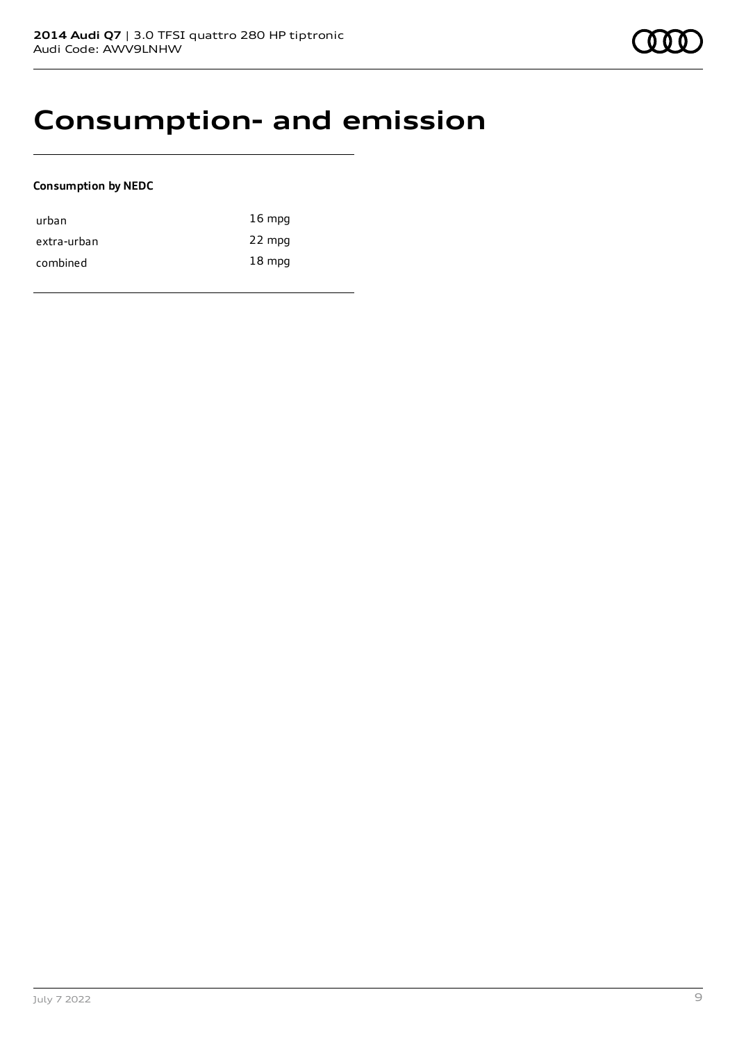# **Consumption- and emission**

### **Consumption by NEDC**

| urban       | $16 \text{ mpg}$ |
|-------------|------------------|
| extra-urban | 22 mpg           |
| combined    | $18 \text{ mpg}$ |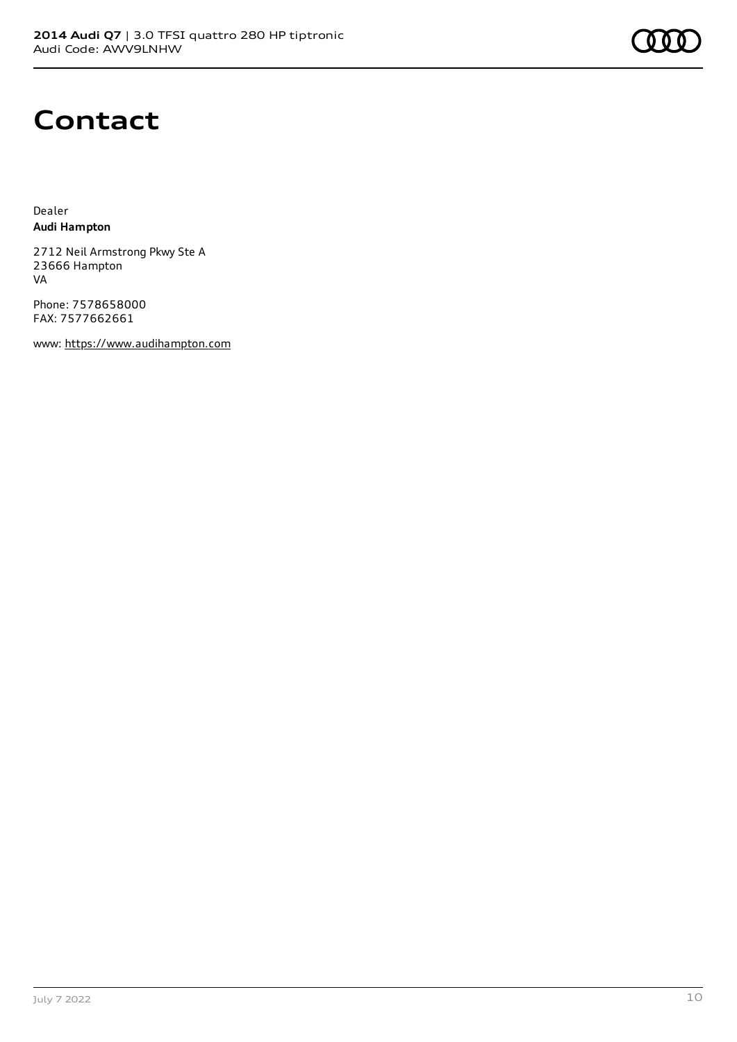

# **Contact**

Dealer **Audi Hampton**

2712 Neil Armstrong Pkwy Ste A 23666 Hampton VA

Phone: 7578658000 FAX: 7577662661

www: [https://www.audihampton.com](https://www.audihampton.com/)